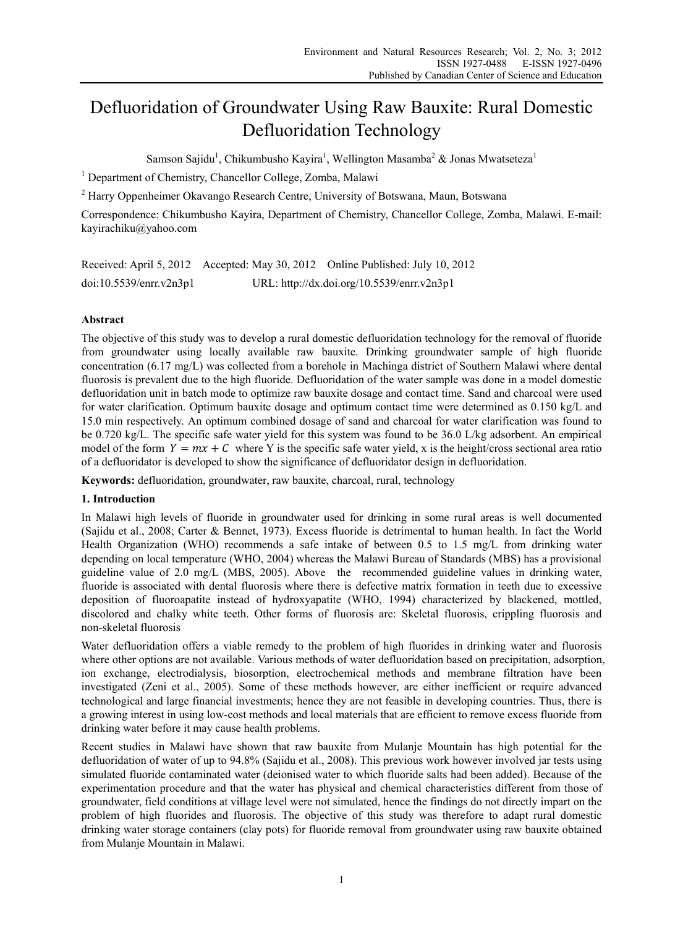# Defluoridation of Groundwater Using Raw Bauxite: Rural Domestic Defluoridation Technology

Samson Sajidu<sup>1</sup>, Chikumbusho Kayira<sup>1</sup>, Wellington Masamba<sup>2</sup> & Jonas Mwatseteza<sup>1</sup>

<sup>1</sup> Department of Chemistry, Chancellor College, Zomba, Malawi

<sup>2</sup> Harry Oppenheimer Okavango Research Centre, University of Botswana, Maun, Botswana

Correspondence: Chikumbusho Kayira, Department of Chemistry, Chancellor College, Zomba, Malawi. E-mail: kayirachiku@yahoo.com

Received: April 5, 2012 Accepted: May 30, 2012 Online Published: July 10, 2012 doi:10.5539/enrr.v2n3p1 URL: http://dx.doi.org/10.5539/enrr.v2n3p1

# **Abstract**

The objective of this study was to develop a rural domestic defluoridation technology for the removal of fluoride from groundwater using locally available raw bauxite. Drinking groundwater sample of high fluoride concentration (6.17 mg/L) was collected from a borehole in Machinga district of Southern Malawi where dental fluorosis is prevalent due to the high fluoride. Defluoridation of the water sample was done in a model domestic defluoridation unit in batch mode to optimize raw bauxite dosage and contact time. Sand and charcoal were used for water clarification. Optimum bauxite dosage and optimum contact time were determined as 0.150 kg/L and 15.0 min respectively. An optimum combined dosage of sand and charcoal for water clarification was found to be 0.720 kg/L. The specific safe water yield for this system was found to be 36.0 L/kg adsorbent. An empirical model of the form  $Y = mx + C$  where Y is the specific safe water yield, x is the height/cross sectional area ratio of a defluoridator is developed to show the significance of defluoridator design in defluoridation.

**Keywords:** defluoridation, groundwater, raw bauxite, charcoal, rural, technology

# **1. Introduction**

In Malawi high levels of fluoride in groundwater used for drinking in some rural areas is well documented (Sajidu et al., 2008; Carter & Bennet, 1973). Excess fluoride is detrimental to human health. In fact the World Health Organization (WHO) recommends a safe intake of between 0.5 to 1.5 mg/L from drinking water depending on local temperature (WHO, 2004) whereas the Malawi Bureau of Standards (MBS) has a provisional guideline value of 2.0 mg/L (MBS, 2005). Above the recommended guideline values in drinking water, fluoride is associated with dental fluorosis where there is defective matrix formation in teeth due to excessive deposition of fluoroapatite instead of hydroxyapatite (WHO, 1994) characterized by blackened, mottled, discolored and chalky white teeth. Other forms of fluorosis are: Skeletal fluorosis, crippling fluorosis and non-skeletal fluorosis

Water defluoridation offers a viable remedy to the problem of high fluorides in drinking water and fluorosis where other options are not available. Various methods of water defluoridation based on precipitation, adsorption, ion exchange, electrodialysis, biosorption, electrochemical methods and membrane filtration have been investigated (Zeni et al., 2005). Some of these methods however, are either inefficient or require advanced technological and large financial investments; hence they are not feasible in developing countries. Thus, there is a growing interest in using low-cost methods and local materials that are efficient to remove excess fluoride from drinking water before it may cause health problems.

Recent studies in Malawi have shown that raw bauxite from Mulanje Mountain has high potential for the defluoridation of water of up to 94.8% (Sajidu et al., 2008). This previous work however involved jar tests using simulated fluoride contaminated water (deionised water to which fluoride salts had been added). Because of the experimentation procedure and that the water has physical and chemical characteristics different from those of groundwater, field conditions at village level were not simulated, hence the findings do not directly impart on the problem of high fluorides and fluorosis. The objective of this study was therefore to adapt rural domestic drinking water storage containers (clay pots) for fluoride removal from groundwater using raw bauxite obtained from Mulanje Mountain in Malawi.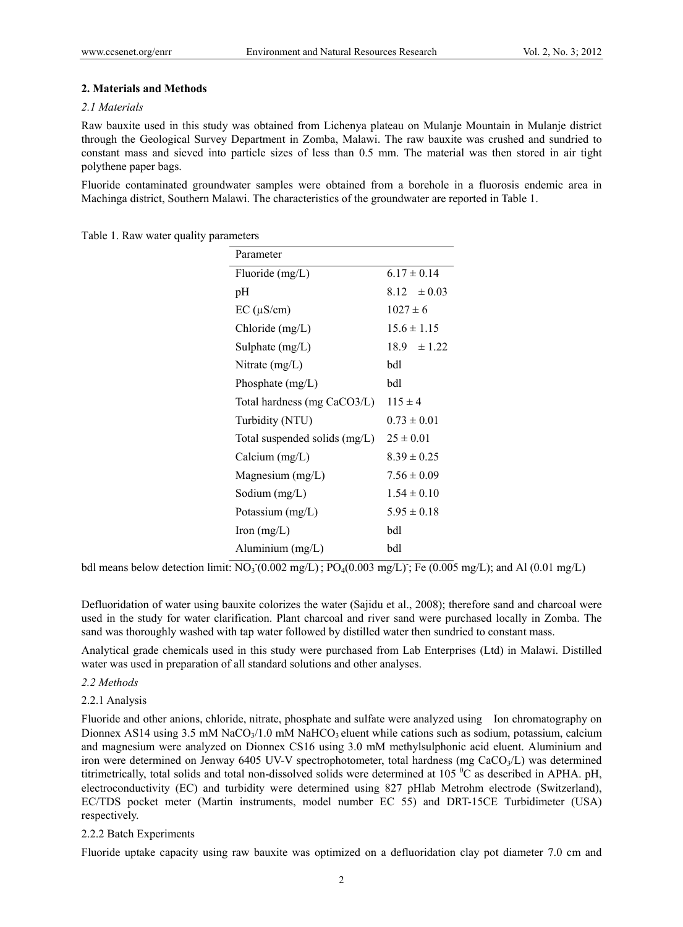# **2. Materials and Methods**

# *2.1 Materials*

Raw bauxite used in this study was obtained from Lichenya plateau on Mulanje Mountain in Mulanje district through the Geological Survey Department in Zomba, Malawi. The raw bauxite was crushed and sundried to constant mass and sieved into particle sizes of less than 0.5 mm. The material was then stored in air tight polythene paper bags.

Fluoride contaminated groundwater samples were obtained from a borehole in a fluorosis endemic area in Machinga district, Southern Malawi. The characteristics of the groundwater are reported in Table 1.

Table 1. Raw water quality parameters

| Parameter                     |                 |
|-------------------------------|-----------------|
| Fluoride $(mg/L)$             | $6.17 \pm 0.14$ |
| pН                            | $8.12 \pm 0.03$ |
| $EC (\mu S/cm)$               | $1027 \pm 6$    |
| Chloride $(mg/L)$             | $15.6 \pm 1.15$ |
| Sulphate $(mg/L)$             | $18.9 \pm 1.22$ |
| Nitrate $(mg/L)$              | bdl             |
| Phosphate $(mg/L)$            | bdl             |
| Total hardness (mg CaCO3/L)   | $115 \pm 4$     |
| Turbidity (NTU)               | $0.73 \pm 0.01$ |
| Total suspended solids (mg/L) | $25 \pm 0.01$   |
| Calcium $(mg/L)$              | $8.39 \pm 0.25$ |
| Magnesium (mg/L)              | $7.56 \pm 0.09$ |
| Sodium $(mg/L)$               | $1.54 \pm 0.10$ |
| Potassium (mg/L)              | $5.95 \pm 0.18$ |
| Iron $(mg/L)$                 | bdl             |
| Aluminium (mg/L)              | bdl             |
|                               |                 |

bdl means below detection limit:  $\overline{NO_3(0.002 \text{ mg/L})}$ ;  $\overline{PO_4(0.003 \text{ mg/L})}$ ;  $\overline{Fe(0.005 \text{ mg/L})}$ ; and Al  $(0.01 \text{ mg/L})$ 

Defluoridation of water using bauxite colorizes the water (Sajidu et al., 2008); therefore sand and charcoal were used in the study for water clarification. Plant charcoal and river sand were purchased locally in Zomba. The sand was thoroughly washed with tap water followed by distilled water then sundried to constant mass.

Analytical grade chemicals used in this study were purchased from Lab Enterprises (Ltd) in Malawi. Distilled water was used in preparation of all standard solutions and other analyses.

# *2.2 Methods*

2.2.1 Analysis

Fluoride and other anions, chloride, nitrate, phosphate and sulfate were analyzed using Ion chromatography on Dionnex AS14 using  $3.5 \text{ mM NaCO}_3/1.0 \text{ mM NaHCO}_3$  eluent while cations such as sodium, potassium, calcium and magnesium were analyzed on Dionnex CS16 using 3.0 mM methylsulphonic acid eluent. Aluminium and iron were determined on Jenway 6405 UV-V spectrophotometer, total hardness (mg CaCO<sub>3</sub>/L) was determined titrimetrically, total solids and total non-dissolved solids were determined at  $105\,^0C$  as described in APHA. pH, electroconductivity (EC) and turbidity were determined using 827 pHlab Metrohm electrode (Switzerland), EC/TDS pocket meter (Martin instruments, model number EC 55) and DRT-15CE Turbidimeter (USA) respectively.

# 2.2.2 Batch Experiments

Fluoride uptake capacity using raw bauxite was optimized on a defluoridation clay pot diameter 7.0 cm and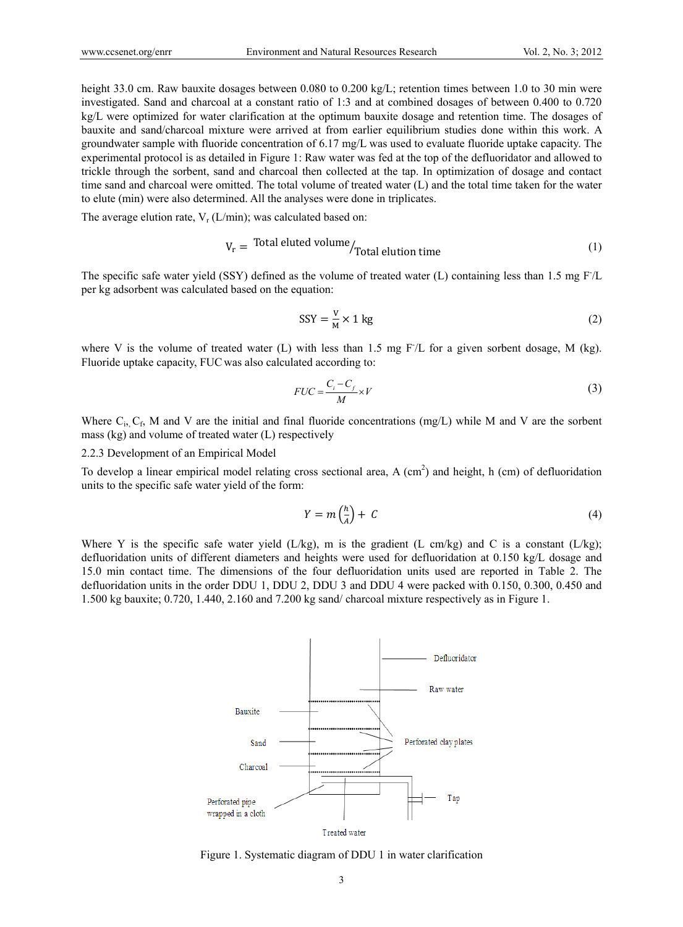height 33.0 cm. Raw bauxite dosages between 0.080 to 0.200 kg/L; retention times between 1.0 to 30 min were investigated. Sand and charcoal at a constant ratio of 1:3 and at combined dosages of between 0.400 to 0.720 kg/L were optimized for water clarification at the optimum bauxite dosage and retention time. The dosages of bauxite and sand/charcoal mixture were arrived at from earlier equilibrium studies done within this work. A groundwater sample with fluoride concentration of 6.17 mg/L was used to evaluate fluoride uptake capacity. The experimental protocol is as detailed in Figure 1: Raw water was fed at the top of the defluoridator and allowed to trickle through the sorbent, sand and charcoal then collected at the tap. In optimization of dosage and contact time sand and charcoal were omitted. The total volume of treated water (L) and the total time taken for the water to elute (min) were also determined. All the analyses were done in triplicates.

The average elution rate,  $V_r$  (L/min); was calculated based on:

$$
V_r = \text{Total eluted volume} / \text{Total elution time}
$$
\n<sup>(1)</sup>

The specific safe water yield (SSY) defined as the volume of treated water (L) containing less than 1.5 mg F/L per kg adsorbent was calculated based on the equation:

$$
SSY = \frac{V}{M} \times 1 \text{ kg}
$$
 (2)

where V is the volume of treated water (L) with less than 1.5 mg F/L for a given sorbent dosage, M (kg). Fluoride uptake capacity, FUC was also calculated according to:

$$
FUC = \frac{C_i - C_f}{M} \times V \tag{3}
$$

Where  $C_i$ ,  $C_f$ , M and V are the initial and final fluoride concentrations (mg/L) while M and V are the sorbent mass (kg) and volume of treated water (L) respectively

2.2.3 Development of an Empirical Model

To develop a linear empirical model relating cross sectional area,  $A$  (cm<sup>2</sup>) and height, h (cm) of defluoridation units to the specific safe water yield of the form:

$$
Y = m\left(\frac{h}{A}\right) + C\tag{4}
$$

Where Y is the specific safe water yield ( $L/kg$ ), m is the gradient (L cm/kg) and C is a constant ( $L/kg$ ); defluoridation units of different diameters and heights were used for defluoridation at 0.150 kg/L dosage and 15.0 min contact time. The dimensions of the four defluoridation units used are reported in Table 2. The defluoridation units in the order DDU 1, DDU 2, DDU 3 and DDU 4 were packed with 0.150, 0.300, 0.450 and 1.500 kg bauxite; 0.720, 1.440, 2.160 and 7.200 kg sand/ charcoal mixture respectively as in Figure 1.



Figure 1. Systematic diagram of DDU 1 in water clarification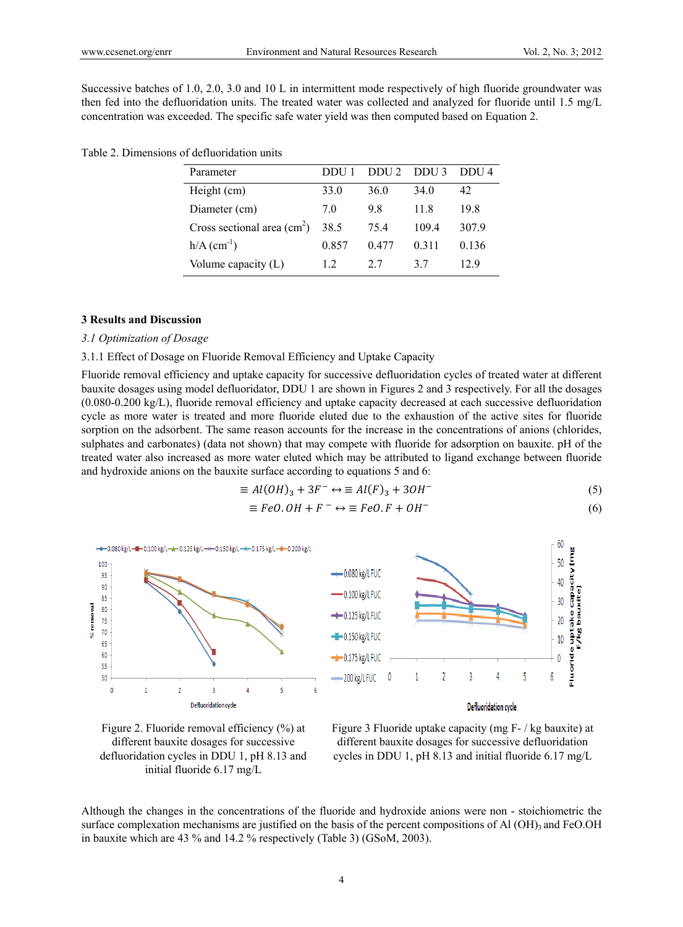Successive batches of 1.0, 2.0, 3.0 and 10 L in intermittent mode respectively of high fluoride groundwater was then fed into the defluoridation units. The treated water was collected and analyzed for fluoride until 1.5 mg/L concentration was exceeded. The specific safe water yield was then computed based on Equation 2.

| Parameter                                   | DDU E | DDU <sub>2</sub> | DDU <sub>3</sub> | DDI4  |
|---------------------------------------------|-------|------------------|------------------|-------|
| Height (cm)                                 | 33.0  | 36.0             | 34 <sub>0</sub>  | 42    |
| Diameter (cm)                               | 70    | 98               | 11.8             | 198   |
| Cross sectional area $\text{(cm}^2\text{)}$ | 38.5  | 75.4             | 109.4            | 307.9 |
| $h/A$ (cm <sup>-1</sup> )                   | 0.857 | 0.477            | 0 3 1 1          | 0.136 |
| Volume capacity (L)                         | 12    | 27               | 37               | 12.9  |

| Table 2. Dimensions of defluoridation units |  |  |
|---------------------------------------------|--|--|
|---------------------------------------------|--|--|

# **3 Results and Discussion**

### *3.1 Optimization of Dosage*

## 3.1.1 Effect of Dosage on Fluoride Removal Efficiency and Uptake Capacity

Fluoride removal efficiency and uptake capacity for successive defluoridation cycles of treated water at different bauxite dosages using model defluoridator, DDU 1 are shown in Figures 2 and 3 respectively. For all the dosages (0.080-0.200 kg/L), fluoride removal efficiency and uptake capacity decreased at each successive defluoridation cycle as more water is treated and more fluoride eluted due to the exhaustion of the active sites for fluoride sorption on the adsorbent. The same reason accounts for the increase in the concentrations of anions (chlorides, sulphates and carbonates) (data not shown) that may compete with fluoride for adsorption on bauxite. pH of the treated water also increased as more water eluted which may be attributed to ligand exchange between fluoride and hydroxide anions on the bauxite surface according to equations 5 and 6:

$$
\equiv Al(OH)_3 + 3F^- \leftrightarrow \equiv Al(F)_3 + 3OH^- \tag{5}
$$

$$
\equiv FeO.OH + F^- \leftrightarrow \equiv FeO.F + OH^- \tag{6}
$$





Figure 3 Fluoride uptake capacity (mg F- / kg bauxite) at different bauxite dosages for successive defluoridation cycles in DDU 1, pH 8.13 and initial fluoride 6.17 mg/L

Although the changes in the concentrations of the fluoride and hydroxide anions were non - stoichiometric the surface complexation mechanisms are justified on the basis of the percent compositions of Al  $(OH)$ <sub>3</sub> and FeO.OH in bauxite which are 43 % and 14.2 % respectively (Table 3) (GSoM, 2003).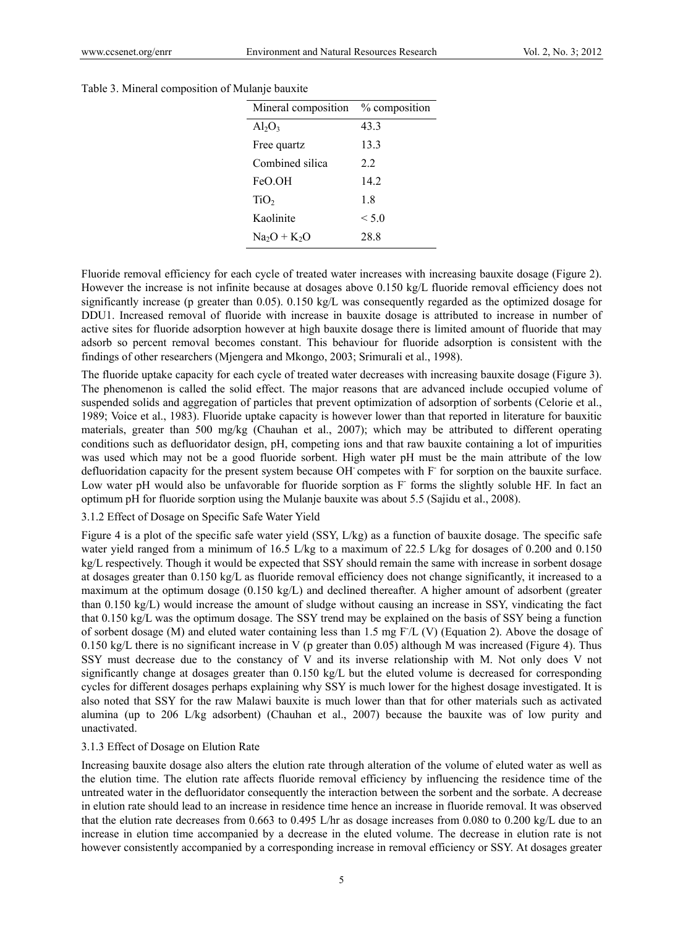|  | Table 3. Mineral composition of Mulanje bauxite |
|--|-------------------------------------------------|
|  |                                                 |

| Mineral composition | % composition |
|---------------------|---------------|
| $Al_2O_3$           | 43.3          |
| Free quartz         | 13.3          |
| Combined silica     | 22            |
| FeO.OH              | 14 2          |
| TiO <sub>2</sub>    | 18            |
| Kaolinite           | $\leq 5.0$    |
| $Na2O + K2O$        | 28.8          |

Fluoride removal efficiency for each cycle of treated water increases with increasing bauxite dosage (Figure 2). However the increase is not infinite because at dosages above 0.150 kg/L fluoride removal efficiency does not significantly increase (p greater than 0.05). 0.150 kg/L was consequently regarded as the optimized dosage for DDU1. Increased removal of fluoride with increase in bauxite dosage is attributed to increase in number of active sites for fluoride adsorption however at high bauxite dosage there is limited amount of fluoride that may adsorb so percent removal becomes constant. This behaviour for fluoride adsorption is consistent with the findings of other researchers (Mjengera and Mkongo, 2003; Srimurali et al., 1998).

The fluoride uptake capacity for each cycle of treated water decreases with increasing bauxite dosage (Figure 3). The phenomenon is called the solid effect. The major reasons that are advanced include occupied volume of suspended solids and aggregation of particles that prevent optimization of adsorption of sorbents (Celorie et al., 1989; Voice et al., 1983). Fluoride uptake capacity is however lower than that reported in literature for bauxitic materials, greater than 500 mg/kg (Chauhan et al., 2007); which may be attributed to different operating conditions such as defluoridator design, pH, competing ions and that raw bauxite containing a lot of impurities was used which may not be a good fluoride sorbent. High water pH must be the main attribute of the low defluoridation capacity for the present system because OH competes with F for sorption on the bauxite surface. Low water pH would also be unfavorable for fluoride sorption as F forms the slightly soluble HF. In fact an optimum pH for fluoride sorption using the Mulanje bauxite was about 5.5 (Sajidu et al., 2008).

#### 3.1.2 Effect of Dosage on Specific Safe Water Yield

Figure 4 is a plot of the specific safe water yield (SSY, L/kg) as a function of bauxite dosage. The specific safe water yield ranged from a minimum of 16.5 L/kg to a maximum of 22.5 L/kg for dosages of 0.200 and 0.150 kg/L respectively. Though it would be expected that SSY should remain the same with increase in sorbent dosage at dosages greater than 0.150 kg/L as fluoride removal efficiency does not change significantly, it increased to a maximum at the optimum dosage (0.150 kg/L) and declined thereafter. A higher amount of adsorbent (greater than 0.150 kg/L) would increase the amount of sludge without causing an increase in SSY, vindicating the fact that 0.150 kg/L was the optimum dosage. The SSY trend may be explained on the basis of SSY being a function of sorbent dosage (M) and eluted water containing less than 1.5 mg F- /L (V) (Equation 2). Above the dosage of 0.150 kg/L there is no significant increase in V (p greater than 0.05) although M was increased (Figure 4). Thus SSY must decrease due to the constancy of V and its inverse relationship with M. Not only does V not significantly change at dosages greater than 0.150 kg/L but the eluted volume is decreased for corresponding cycles for different dosages perhaps explaining why SSY is much lower for the highest dosage investigated. It is also noted that SSY for the raw Malawi bauxite is much lower than that for other materials such as activated alumina (up to 206 L/kg adsorbent) (Chauhan et al., 2007) because the bauxite was of low purity and unactivated.

#### 3.1.3 Effect of Dosage on Elution Rate

Increasing bauxite dosage also alters the elution rate through alteration of the volume of eluted water as well as the elution time. The elution rate affects fluoride removal efficiency by influencing the residence time of the untreated water in the defluoridator consequently the interaction between the sorbent and the sorbate. A decrease in elution rate should lead to an increase in residence time hence an increase in fluoride removal. It was observed that the elution rate decreases from 0.663 to 0.495 L/hr as dosage increases from 0.080 to 0.200 kg/L due to an increase in elution time accompanied by a decrease in the eluted volume. The decrease in elution rate is not however consistently accompanied by a corresponding increase in removal efficiency or SSY. At dosages greater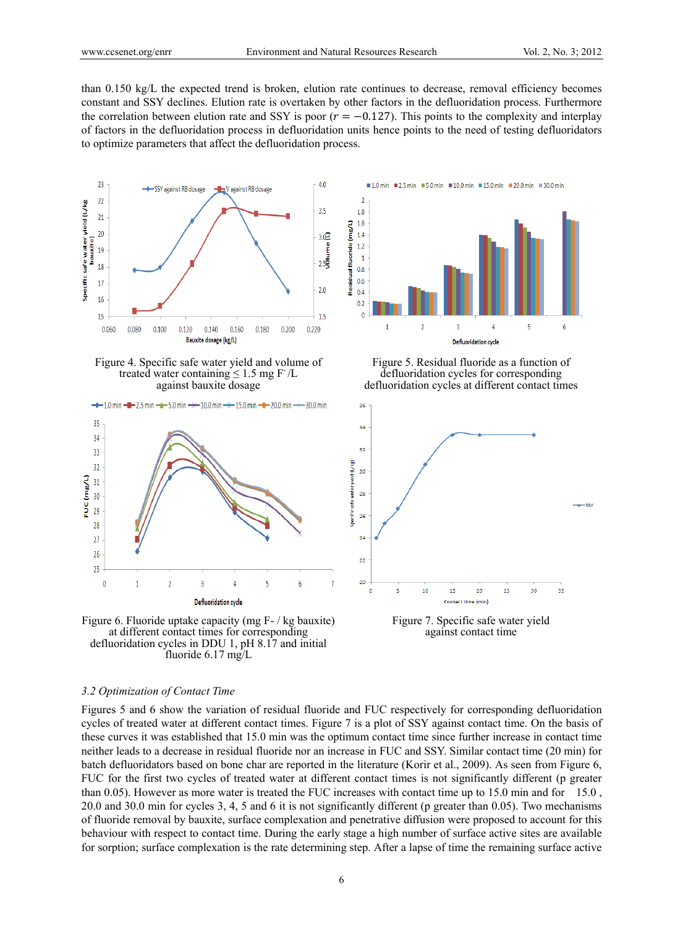than 0.150 kg/L the expected trend is broken, elution rate continues to decrease, removal efficiency becomes constant and SSY declines. Elution rate is overtaken by other factors in the defluoridation process. Furthermore the correlation between elution rate and SSY is poor ( $r = -0.127$ ). This points to the complexity and interplay of factors in the defluoridation process in defluoridation units hence points to the need of testing defluoridators to optimize parameters that affect the defluoridation process.



Figure 4. Specific safe water yield and volume of treated water containing  $\leq 1.5$  mg F /L against bauxite dosage

 $-$  1.0 min  $-$  2.5 min  $-$  5.0 min  $\rightarrow$  10.0 min  $+$  15.0 min  $-$  20.0 min  $-$  30.0 min



Figure 6. Fluoride uptake capacity (mg F- / kg bauxite) at different contact times for corresponding defluoridation cycles in DDU 1, pH 8.17 and initial fluoride 6.17 mg/L

■1.0 min ■2.5 min ■5.0 min ■10.0 min ■15.0 min ■20.0 min ■30.0 min  $\overline{2}$  $18$  $1.6$ Residual fluoride (mg/L)  $1.4$  $1.2$  $\overline{1}$  $0.8$  $0.6$  $0.4$  $0.2$  $\overline{0}$  $\overline{1}$  $\overline{2}$  $\overline{3}$  $\overline{4}$  $\overline{5}$  $\overline{6}$ **Defluoridation cycle** 

Figure 5. Residual fluoride as a function of defluoridation cycles for corresponding defluoridation cycles at different contact times



Figure 7. Specific safe water yield against contact time

#### *3.2 Optimization of Contact Time*

Figures 5 and 6 show the variation of residual fluoride and FUC respectively for corresponding defluoridation cycles of treated water at different contact times. Figure 7 is a plot of SSY against contact time. On the basis of these curves it was established that 15.0 min was the optimum contact time since further increase in contact time neither leads to a decrease in residual fluoride nor an increase in FUC and SSY. Similar contact time (20 min) for batch defluoridators based on bone char are reported in the literature (Korir et al., 2009). As seen from Figure 6, FUC for the first two cycles of treated water at different contact times is not significantly different (p greater than 0.05). However as more water is treated the FUC increases with contact time up to 15.0 min and for 15.0 , 20.0 and 30.0 min for cycles 3, 4, 5 and 6 it is not significantly different (p greater than 0.05). Two mechanisms of fluoride removal by bauxite, surface complexation and penetrative diffusion were proposed to account for this behaviour with respect to contact time. During the early stage a high number of surface active sites are available for sorption; surface complexation is the rate determining step. After a lapse of time the remaining surface active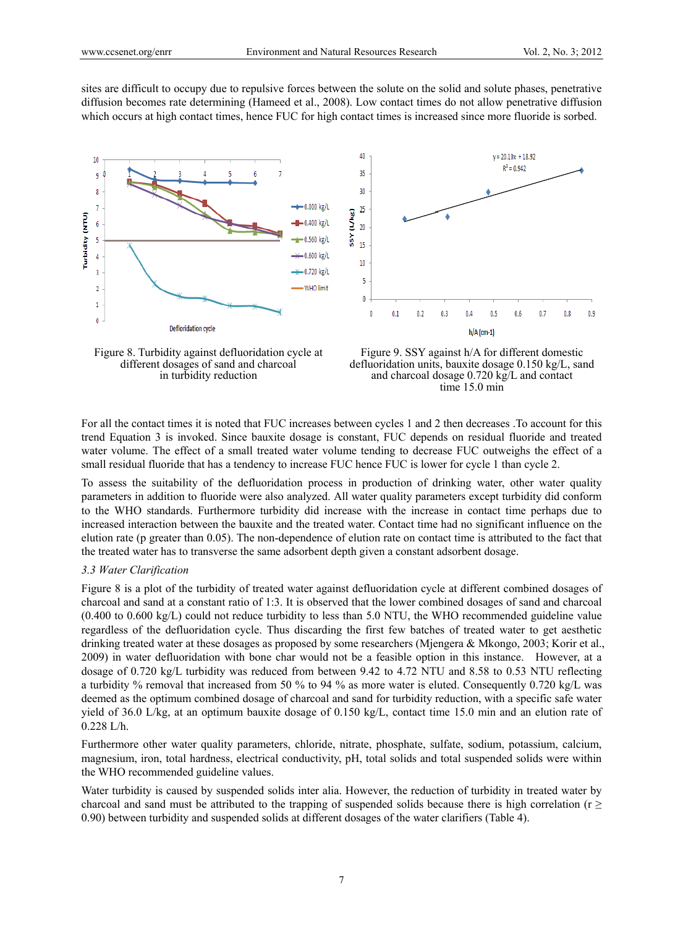sites are difficult to occupy due to repulsive forces between the solute on the solid and solute phases, penetrative diffusion becomes rate determining (Hameed et al., 2008). Low contact times do not allow penetrative diffusion which occurs at high contact times, hence FUC for high contact times is increased since more fluoride is sorbed.







For all the contact times it is noted that FUC increases between cycles 1 and 2 then decreases .To account for this trend Equation 3 is invoked. Since bauxite dosage is constant, FUC depends on residual fluoride and treated water volume. The effect of a small treated water volume tending to decrease FUC outweighs the effect of a small residual fluoride that has a tendency to increase FUC hence FUC is lower for cycle 1 than cycle 2.

To assess the suitability of the defluoridation process in production of drinking water, other water quality parameters in addition to fluoride were also analyzed. All water quality parameters except turbidity did conform to the WHO standards. Furthermore turbidity did increase with the increase in contact time perhaps due to increased interaction between the bauxite and the treated water. Contact time had no significant influence on the elution rate (p greater than 0.05). The non-dependence of elution rate on contact time is attributed to the fact that the treated water has to transverse the same adsorbent depth given a constant adsorbent dosage.

## *3.3 Water Clarification*

Figure 8 is a plot of the turbidity of treated water against defluoridation cycle at different combined dosages of charcoal and sand at a constant ratio of 1:3. It is observed that the lower combined dosages of sand and charcoal (0.400 to 0.600 kg/L) could not reduce turbidity to less than 5.0 NTU, the WHO recommended guideline value regardless of the defluoridation cycle. Thus discarding the first few batches of treated water to get aesthetic drinking treated water at these dosages as proposed by some researchers (Mjengera & Mkongo, 2003; Korir et al., 2009) in water defluoridation with bone char would not be a feasible option in this instance. However, at a dosage of 0.720 kg/L turbidity was reduced from between 9.42 to 4.72 NTU and 8.58 to 0.53 NTU reflecting a turbidity % removal that increased from 50 % to 94 % as more water is eluted. Consequently 0.720 kg/L was deemed as the optimum combined dosage of charcoal and sand for turbidity reduction, with a specific safe water yield of 36.0 L/kg, at an optimum bauxite dosage of 0.150 kg/L, contact time 15.0 min and an elution rate of 0.228 L/h.

Furthermore other water quality parameters, chloride, nitrate, phosphate, sulfate, sodium, potassium, calcium, magnesium, iron, total hardness, electrical conductivity, pH, total solids and total suspended solids were within the WHO recommended guideline values.

Water turbidity is caused by suspended solids inter alia. However, the reduction of turbidity in treated water by charcoal and sand must be attributed to the trapping of suspended solids because there is high correlation ( $r \geq$ 0.90) between turbidity and suspended solids at different dosages of the water clarifiers (Table 4).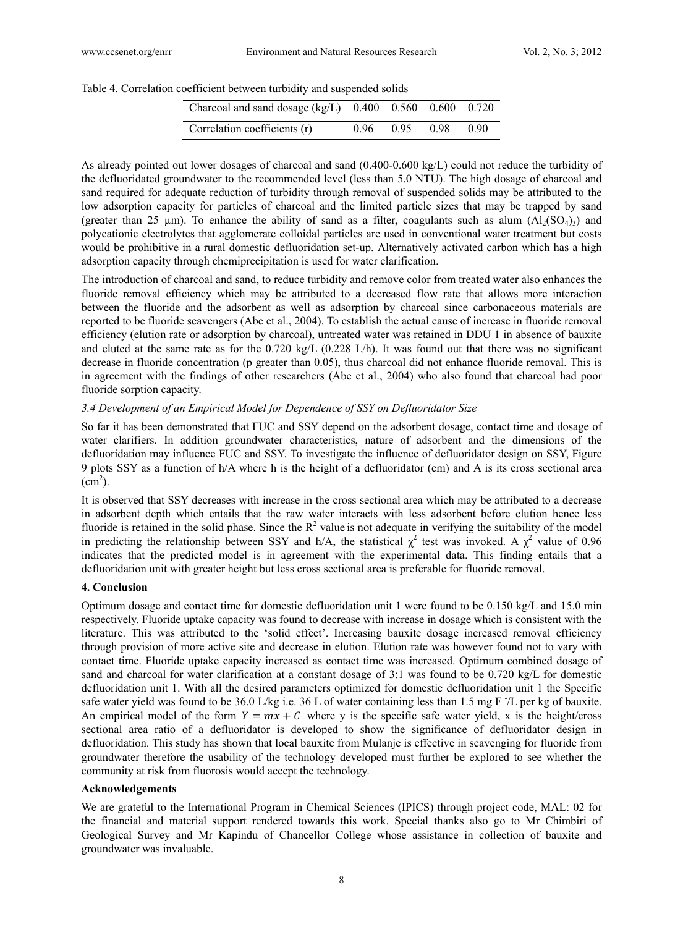|  |  |  | Table 4. Correlation coefficient between turbidity and suspended solids |  |
|--|--|--|-------------------------------------------------------------------------|--|
|  |  |  |                                                                         |  |

| Charcoal and sand dosage $(kg/L)$ 0.400 0.560 0.600 0.720 |      |      |      |      |
|-----------------------------------------------------------|------|------|------|------|
| Correlation coefficients (r)                              | 0.96 | 0.95 | 0.98 | 0.90 |

As already pointed out lower dosages of charcoal and sand (0.400-0.600 kg/L) could not reduce the turbidity of the defluoridated groundwater to the recommended level (less than 5.0 NTU). The high dosage of charcoal and sand required for adequate reduction of turbidity through removal of suspended solids may be attributed to the low adsorption capacity for particles of charcoal and the limited particle sizes that may be trapped by sand (greater than 25 µm). To enhance the ability of sand as a filter, coagulants such as alum  $(Al_2(SO_4))$  and polycationic electrolytes that agglomerate colloidal particles are used in conventional water treatment but costs would be prohibitive in a rural domestic defluoridation set-up. Alternatively activated carbon which has a high adsorption capacity through chemiprecipitation is used for water clarification.

The introduction of charcoal and sand, to reduce turbidity and remove color from treated water also enhances the fluoride removal efficiency which may be attributed to a decreased flow rate that allows more interaction between the fluoride and the adsorbent as well as adsorption by charcoal since carbonaceous materials are reported to be fluoride scavengers (Abe et al., 2004). To establish the actual cause of increase in fluoride removal efficiency (elution rate or adsorption by charcoal), untreated water was retained in DDU 1 in absence of bauxite and eluted at the same rate as for the 0.720 kg/L (0.228 L/h). It was found out that there was no significant decrease in fluoride concentration (p greater than 0.05), thus charcoal did not enhance fluoride removal. This is in agreement with the findings of other researchers (Abe et al., 2004) who also found that charcoal had poor fluoride sorption capacity.

### *3.4 Development of an Empirical Model for Dependence of SSY on Defluoridator Size*

So far it has been demonstrated that FUC and SSY depend on the adsorbent dosage, contact time and dosage of water clarifiers. In addition groundwater characteristics, nature of adsorbent and the dimensions of the defluoridation may influence FUC and SSY. To investigate the influence of defluoridator design on SSY, Figure 9 plots SSY as a function of h/A where h is the height of a defluoridator (cm) and A is its cross sectional area  $\text{(cm}^2)$ .

It is observed that SSY decreases with increase in the cross sectional area which may be attributed to a decrease in adsorbent depth which entails that the raw water interacts with less adsorbent before elution hence less fluoride is retained in the solid phase. Since the  $R^2$  value is not adequate in verifying the suitability of the model in predicting the relationship between SSY and h/A, the statistical  $\chi^2$  test was invoked. A  $\chi^2$  value of 0.96 indicates that the predicted model is in agreement with the experimental data. This finding entails that a defluoridation unit with greater height but less cross sectional area is preferable for fluoride removal.

#### **4. Conclusion**

Optimum dosage and contact time for domestic defluoridation unit 1 were found to be 0.150 kg/L and 15.0 min respectively. Fluoride uptake capacity was found to decrease with increase in dosage which is consistent with the literature. This was attributed to the 'solid effect'. Increasing bauxite dosage increased removal efficiency through provision of more active site and decrease in elution. Elution rate was however found not to vary with contact time. Fluoride uptake capacity increased as contact time was increased. Optimum combined dosage of sand and charcoal for water clarification at a constant dosage of 3:1 was found to be 0.720 kg/L for domestic defluoridation unit 1. With all the desired parameters optimized for domestic defluoridation unit 1 the Specific safe water yield was found to be 36.0 L/kg i.e. 36 L of water containing less than 1.5 mg F 7L per kg of bauxite. An empirical model of the form  $Y = mx + C$  where y is the specific safe water yield, x is the height/cross sectional area ratio of a defluoridator is developed to show the significance of defluoridator design in defluoridation. This study has shown that local bauxite from Mulanje is effective in scavenging for fluoride from groundwater therefore the usability of the technology developed must further be explored to see whether the community at risk from fluorosis would accept the technology.

### **Acknowledgements**

We are grateful to the International Program in Chemical Sciences (IPICS) through project code, MAL: 02 for the financial and material support rendered towards this work. Special thanks also go to Mr Chimbiri of Geological Survey and Mr Kapindu of Chancellor College whose assistance in collection of bauxite and groundwater was invaluable.